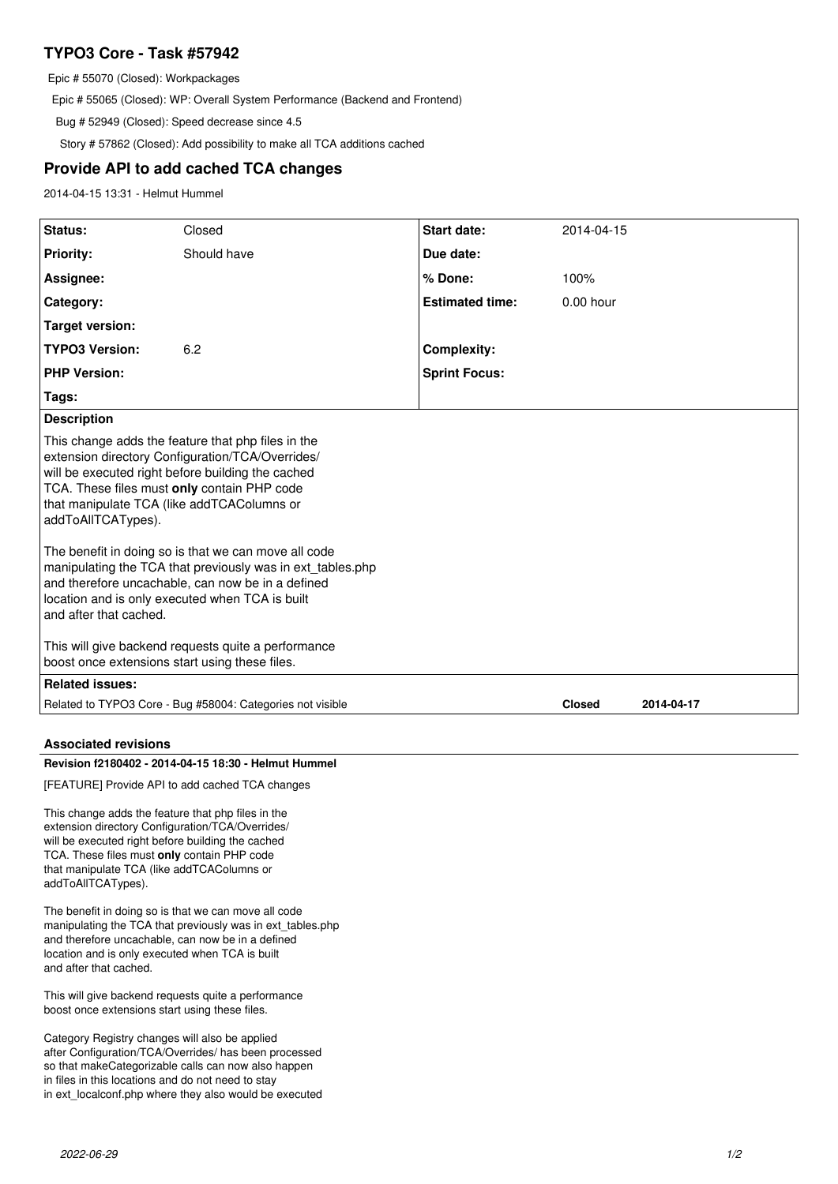# **TYPO3 Core - Task #57942**

Epic # 55070 (Closed): Workpackages

Epic # 55065 (Closed): WP: Overall System Performance (Backend and Frontend)

Bug # 52949 (Closed): Speed decrease since 4.5

Story # 57862 (Closed): Add possibility to make all TCA additions cached

# **Provide API to add cached TCA changes**

2014-04-15 13:31 - Helmut Hummel

| Status:                                                                                                                                                                                                                                                                                                                                                                                                                                                                                                                                | Closed      | <b>Start date:</b>     | 2014-04-15    |            |
|----------------------------------------------------------------------------------------------------------------------------------------------------------------------------------------------------------------------------------------------------------------------------------------------------------------------------------------------------------------------------------------------------------------------------------------------------------------------------------------------------------------------------------------|-------------|------------------------|---------------|------------|
| <b>Priority:</b>                                                                                                                                                                                                                                                                                                                                                                                                                                                                                                                       | Should have | Due date:              |               |            |
| Assignee:                                                                                                                                                                                                                                                                                                                                                                                                                                                                                                                              |             | % Done:                | 100%          |            |
| Category:                                                                                                                                                                                                                                                                                                                                                                                                                                                                                                                              |             | <b>Estimated time:</b> | $0.00$ hour   |            |
| <b>Target version:</b>                                                                                                                                                                                                                                                                                                                                                                                                                                                                                                                 |             |                        |               |            |
| <b>TYPO3 Version:</b>                                                                                                                                                                                                                                                                                                                                                                                                                                                                                                                  | 6.2         | <b>Complexity:</b>     |               |            |
| <b>PHP Version:</b>                                                                                                                                                                                                                                                                                                                                                                                                                                                                                                                    |             | <b>Sprint Focus:</b>   |               |            |
| Tags:                                                                                                                                                                                                                                                                                                                                                                                                                                                                                                                                  |             |                        |               |            |
| <b>Description</b>                                                                                                                                                                                                                                                                                                                                                                                                                                                                                                                     |             |                        |               |            |
| This change adds the feature that php files in the<br>extension directory Configuration/TCA/Overrides/<br>will be executed right before building the cached<br>TCA. These files must only contain PHP code<br>that manipulate TCA (like addTCAColumns or<br>addToAllTCATypes).<br>The benefit in doing so is that we can move all code<br>manipulating the TCA that previously was in ext_tables.php<br>and therefore uncachable, can now be in a defined<br>location and is only executed when TCA is built<br>and after that cached. |             |                        |               |            |
| This will give backend requests quite a performance<br>boost once extensions start using these files.                                                                                                                                                                                                                                                                                                                                                                                                                                  |             |                        |               |            |
| <b>Related issues:</b>                                                                                                                                                                                                                                                                                                                                                                                                                                                                                                                 |             |                        |               |            |
| Related to TYPO3 Core - Bug #58004: Categories not visible                                                                                                                                                                                                                                                                                                                                                                                                                                                                             |             |                        | <b>Closed</b> | 2014-04-17 |
| <b>Associated revisions</b>                                                                                                                                                                                                                                                                                                                                                                                                                                                                                                            |             |                        |               |            |
| Revision f2180402 - 2014-04-15 18:30 - Helmut Hummel                                                                                                                                                                                                                                                                                                                                                                                                                                                                                   |             |                        |               |            |
| [FEATURE] Provide API to add cached TCA changes                                                                                                                                                                                                                                                                                                                                                                                                                                                                                        |             |                        |               |            |
| This change adds the feature that php files in the<br>extension directory Configuration/TCA/Overrides/<br>will be executed right before building the cached<br>TCA. These files must only contain PHP code<br>that manipulate TCA (like addTCAColumns or<br>addToAllTCATypes).                                                                                                                                                                                                                                                         |             |                        |               |            |
| The benefit in doing so is that we can move all code<br>manipulating the TCA that previously was in ext_tables.php<br>and therefore uncachable, can now be in a defined<br>location and is only executed when TCA is built<br>and after that cached.                                                                                                                                                                                                                                                                                   |             |                        |               |            |
| This will give backend requests quite a performance<br>boost once extensions start using these files.                                                                                                                                                                                                                                                                                                                                                                                                                                  |             |                        |               |            |

Category Registry changes will also be applied after Configuration/TCA/Overrides/ has been processed so that makeCategorizable calls can now also happen in files in this locations and do not need to stay in ext\_localconf.php where they also would be executed